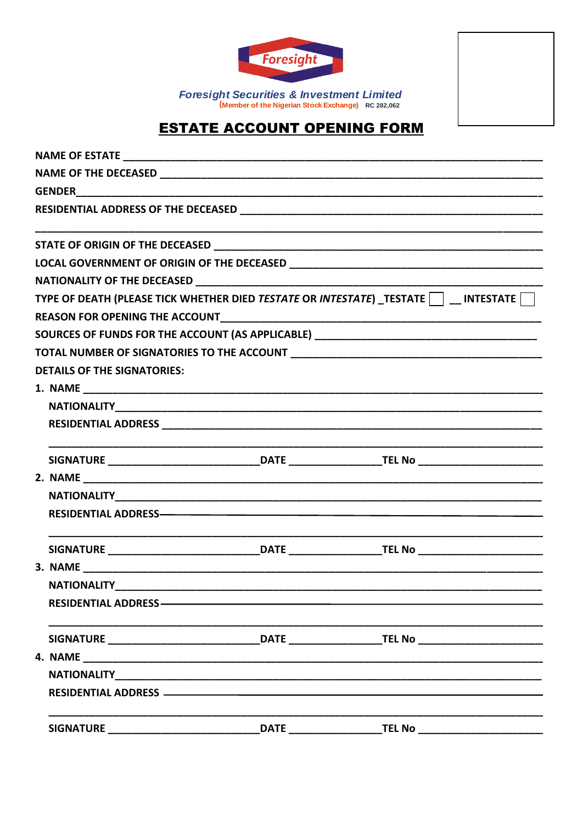

Foresight Securities & Investment Limited<br>(Member of the Nigerian Stock Exchange) RC 282,062

## **ESTATE ACCOUNT OPENING FORM**

|  |                                                                                                                 |  | TYPE OF DEATH (PLEASE TICK WHETHER DIED TESTATE OR INTESTATE) TESTATE THESTATE                       |
|--|-----------------------------------------------------------------------------------------------------------------|--|------------------------------------------------------------------------------------------------------|
|  |                                                                                                                 |  |                                                                                                      |
|  |                                                                                                                 |  | SOURCES OF FUNDS FOR THE ACCOUNT (AS APPLICABLE) ________________________________                    |
|  |                                                                                                                 |  |                                                                                                      |
|  | <b>DETAILS OF THE SIGNATORIES:</b>                                                                              |  |                                                                                                      |
|  |                                                                                                                 |  |                                                                                                      |
|  |                                                                                                                 |  |                                                                                                      |
|  |                                                                                                                 |  |                                                                                                      |
|  |                                                                                                                 |  | SIGNATURE _________________________________DATE _____________________TEL No _______________________  |
|  |                                                                                                                 |  |                                                                                                      |
|  |                                                                                                                 |  |                                                                                                      |
|  |                                                                                                                 |  |                                                                                                      |
|  |                                                                                                                 |  | SIGNATURE ________________________________DATE _____________________TEL No ________________________  |
|  |                                                                                                                 |  |                                                                                                      |
|  | <b>NATIONALITY</b>                                                                                              |  |                                                                                                      |
|  | RESIDENTIAL ADDRESS - The Contract of the Contract of the Contract of the Contract of the Contract of the Contr |  |                                                                                                      |
|  |                                                                                                                 |  | SIGNATURE _________________________________DATE _____________________TEL No ________________________ |
|  |                                                                                                                 |  |                                                                                                      |
|  |                                                                                                                 |  |                                                                                                      |
|  |                                                                                                                 |  |                                                                                                      |
|  | <b>SIGNATURE</b>                                                                                                |  | DATE TEL No                                                                                          |